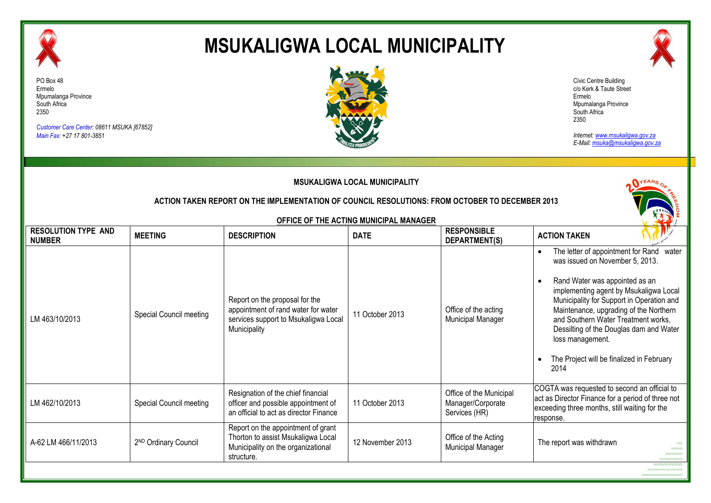

# **MSUKALIGWA LOCAL MUNICIPALITY**



*Customer Care Center: 08611 MSUKA [67852] Main Fax: +27 17 801-3851*



Civic Centre Building c/o Kerk & Taute Street Ermelo Mpumalanga Province South Africa 2350

*Internet: www.msukaligwa.gov.za E-Mail: msuka@msukaligwa.gov.za*

| <b>MSUKALIGWA LOCAL MUNICIPALITY</b><br>ACTION TAKEN REPORT ON THE IMPLEMENTATION OF COUNCIL RESOLUTIONS: FROM OCTOBER TO DECEMBER 2013 |                                  |                                                                                                                               |                                        |                                                               |                                                                                                                                                                                                                                                                                                                                                                                                                           |  |  |
|-----------------------------------------------------------------------------------------------------------------------------------------|----------------------------------|-------------------------------------------------------------------------------------------------------------------------------|----------------------------------------|---------------------------------------------------------------|---------------------------------------------------------------------------------------------------------------------------------------------------------------------------------------------------------------------------------------------------------------------------------------------------------------------------------------------------------------------------------------------------------------------------|--|--|
| <b>RESOLUTION TYPE AND</b>                                                                                                              |                                  |                                                                                                                               | OFFICE OF THE ACTING MUNICIPAL MANAGER | <b>RESPONSIBLE</b>                                            |                                                                                                                                                                                                                                                                                                                                                                                                                           |  |  |
| <b>NUMBER</b>                                                                                                                           | <b>MEETING</b>                   | <b>DESCRIPTION</b>                                                                                                            | <b>DATE</b>                            | DEPARTMENT(S)                                                 | <b>ACTION TAKEN</b>                                                                                                                                                                                                                                                                                                                                                                                                       |  |  |
| LM 463/10/2013                                                                                                                          | Special Council meeting          | Report on the proposal for the<br>appointment of rand water for water<br>services support to Msukaligwa Local<br>Municipality | 11 October 2013                        | Office of the acting<br>Municipal Manager                     | The letter of appointment for Rand<br>water<br>was issued on November 5, 2013.<br>Rand Water was appointed as an<br>$\bullet$<br>implementing agent by Msukaligwa Local<br>Municipality for Support in Operation and<br>Maintenance, upgrading of the Northern<br>and Southern Water Treatment works,<br>Dessilting of the Douglas dam and Water<br>loss management.<br>The Project will be finalized in February<br>2014 |  |  |
| LM 462/10/2013                                                                                                                          | Special Council meeting          | Resignation of the chief financial<br>officer and possible appointment of<br>an official to act as director Finance           | 11 October 2013                        | Office of the Municipal<br>Manager/Corporate<br>Services (HR) | COGTA was requested to second an official to<br>act as Director Finance for a period of three not<br>exceeding three months, still waiting for the<br>response.                                                                                                                                                                                                                                                           |  |  |
| A-62 LM 466/11/2013                                                                                                                     | 2 <sup>ND</sup> Ordinary Council | Report on the appointment of grant<br>Thorton to assist Msukaligwa Local<br>Municipality on the organizational<br>structure.  | 12 November 2013                       | Office of the Acting<br><b>Municipal Manager</b>              | The report was withdrawn<br>$\sim$                                                                                                                                                                                                                                                                                                                                                                                        |  |  |
|                                                                                                                                         |                                  |                                                                                                                               |                                        |                                                               |                                                                                                                                                                                                                                                                                                                                                                                                                           |  |  |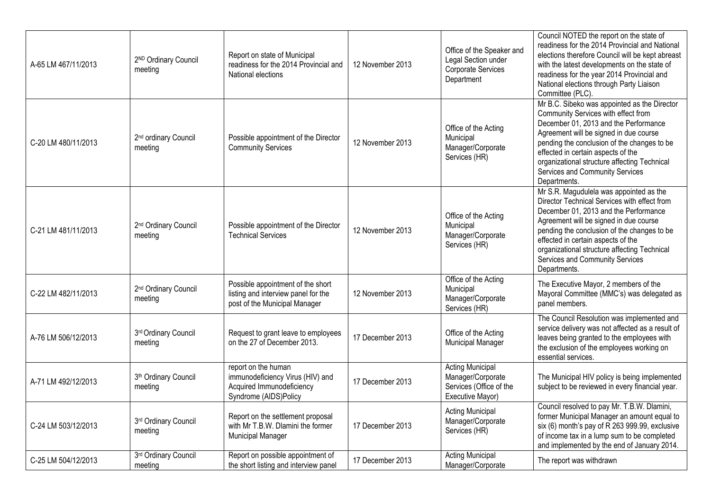| A-65 LM 467/11/2013 | 2ND Ordinary Council<br>meeting             | Report on state of Municipal<br>readiness for the 2014 Provincial and<br>National elections                   | 12 November 2013 | Office of the Speaker and<br>Legal Section under<br>Corporate Services<br>Department        | Council NOTED the report on the state of<br>readiness for the 2014 Provincial and National<br>elections therefore Council will be kept abreast<br>with the latest developments on the state of<br>readiness for the year 2014 Provincial and<br>National elections through Party Liaison<br>Committee (PLC).                                                       |
|---------------------|---------------------------------------------|---------------------------------------------------------------------------------------------------------------|------------------|---------------------------------------------------------------------------------------------|--------------------------------------------------------------------------------------------------------------------------------------------------------------------------------------------------------------------------------------------------------------------------------------------------------------------------------------------------------------------|
| C-20 LM 480/11/2013 | 2 <sup>nd</sup> ordinary Council<br>meeting | Possible appointment of the Director<br><b>Community Services</b>                                             | 12 November 2013 | Office of the Acting<br>Municipal<br>Manager/Corporate<br>Services (HR)                     | Mr B.C. Sibeko was appointed as the Director<br>Community Services with effect from<br>December 01, 2013 and the Performance<br>Agreement will be signed in due course<br>pending the conclusion of the changes to be<br>effected in certain aspects of the<br>organizational structure affecting Technical<br>Services and Community Services<br>Departments.     |
| C-21 LM 481/11/2013 | 2 <sup>nd</sup> Ordinary Council<br>meeting | Possible appointment of the Director<br><b>Technical Services</b>                                             | 12 November 2013 | Office of the Acting<br>Municipal<br>Manager/Corporate<br>Services (HR)                     | Mr S.R. Magudulela was appointed as the<br>Director Technical Services with effect from<br>December 01, 2013 and the Performance<br>Agreement will be signed in due course<br>pending the conclusion of the changes to be<br>effected in certain aspects of the<br>organizational structure affecting Technical<br>Services and Community Services<br>Departments. |
| C-22 LM 482/11/2013 | 2 <sup>nd</sup> Ordinary Council<br>meeting | Possible appointment of the short<br>listing and interview panel for the<br>post of the Municipal Manager     | 12 November 2013 | Office of the Acting<br>Municipal<br>Manager/Corporate<br>Services (HR)                     | The Executive Mayor, 2 members of the<br>Mayoral Committee (MMC's) was delegated as<br>panel members.                                                                                                                                                                                                                                                              |
| A-76 LM 506/12/2013 | 3rd Ordinary Council<br>meeting             | Request to grant leave to employees<br>on the 27 of December 2013.                                            | 17 December 2013 | Office of the Acting<br>Municipal Manager                                                   | The Council Resolution was implemented and<br>service delivery was not affected as a result of<br>leaves being granted to the employees with<br>the exclusion of the employees working on<br>essential services.                                                                                                                                                   |
| A-71 LM 492/12/2013 | 3 <sup>th</sup> Ordinary Council<br>meeting | report on the human<br>immunodeficiency Virus (HIV) and<br>Acquired Immunodeficiency<br>Syndrome (AIDS)Policy | 17 December 2013 | <b>Acting Municipal</b><br>Manager/Corporate<br>Services (Office of the<br>Executive Mayor) | The Municipal HIV policy is being implemented<br>subject to be reviewed in every financial year.                                                                                                                                                                                                                                                                   |
| C-24 LM 503/12/2013 | 3rd Ordinary Council<br>meeting             | Report on the settlement proposal<br>with Mr T.B.W. Dlamini the former<br><b>Municipal Manager</b>            | 17 December 2013 | <b>Acting Municipal</b><br>Manager/Corporate<br>Services (HR)                               | Council resolved to pay Mr. T.B.W. Dlamini,<br>former Municipal Manager an amount equal to<br>six (6) month's pay of R 263 999.99, exclusive<br>of income tax in a lump sum to be completed<br>and implemented by the end of January 2014.                                                                                                                         |
| C-25 LM 504/12/2013 | 3rd Ordinary Council<br>meeting             | Report on possible appointment of<br>the short listing and interview panel                                    | 17 December 2013 | <b>Acting Municipal</b><br>Manager/Corporate                                                | The report was withdrawn                                                                                                                                                                                                                                                                                                                                           |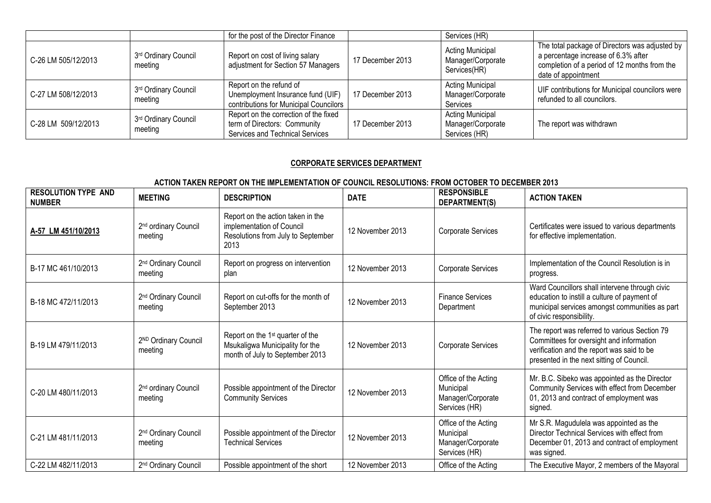|                     |                                 | for the post of the Director Finance                                                                     |                  | Services (HR)                                                 |                                                                                                                                                              |
|---------------------|---------------------------------|----------------------------------------------------------------------------------------------------------|------------------|---------------------------------------------------------------|--------------------------------------------------------------------------------------------------------------------------------------------------------------|
| C-26 LM 505/12/2013 | 3rd Ordinary Council<br>meeting | Report on cost of living salary<br>adjustment for Section 57 Managers                                    | 17 December 2013 | <b>Acting Municipal</b><br>Manager/Corporate<br>Services(HR)  | The total package of Directors was adjusted by<br>a percentage increase of 6.3% after<br>completion of a period of 12 months from the<br>date of appointment |
| C-27 LM 508/12/2013 | 3rd Ordinary Council<br>meeting | Report on the refund of<br>Unemployment Insurance fund (UIF)<br>contributions for Municipal Councilors   | 17 December 2013 | <b>Acting Municipal</b><br>Manager/Corporate<br>Services      | UIF contributions for Municipal councilors were<br>refunded to all councilors.                                                                               |
| C-28 LM 509/12/2013 | 3rd Ordinary Council<br>meeting | Report on the correction of the fixed<br>term of Directors: Community<br>Services and Technical Services | 17 December 2013 | <b>Acting Municipal</b><br>Manager/Corporate<br>Services (HR) | The report was withdrawn                                                                                                                                     |

#### **CORPORATE SERVICES DEPARTMENT**

| <b>RESOLUTION TYPE AND</b><br><b>NUMBER</b> | <b>MEETING</b>                              | <b>DESCRIPTION</b>                                                                                                 | <b>DATE</b>      | <b>RESPONSIBLE</b><br>DEPARTMENT(S)                                     | <b>ACTION TAKEN</b>                                                                                                                                                                  |
|---------------------------------------------|---------------------------------------------|--------------------------------------------------------------------------------------------------------------------|------------------|-------------------------------------------------------------------------|--------------------------------------------------------------------------------------------------------------------------------------------------------------------------------------|
| A-57 LM 451/10/2013                         | 2 <sup>nd</sup> ordinary Council<br>meeting | Report on the action taken in the<br>implementation of Council<br>Resolutions from July to September<br>2013       | 12 November 2013 | Corporate Services                                                      | Certificates were issued to various departments<br>for effective implementation.                                                                                                     |
| B-17 MC 461/10/2013                         | 2 <sup>nd</sup> Ordinary Council<br>meeting | Report on progress on intervention<br>plan                                                                         | 12 November 2013 | <b>Corporate Services</b>                                               | Implementation of the Council Resolution is in<br>progress.                                                                                                                          |
| B-18 MC 472/11/2013                         | 2 <sup>nd</sup> Ordinary Council<br>meeting | Report on cut-offs for the month of<br>September 2013                                                              | 12 November 2013 | <b>Finance Services</b><br>Department                                   | Ward Councillors shall intervene through civic<br>education to instill a culture of payment of<br>municipal services amongst communities as part<br>of civic responsibility.         |
| B-19 LM 479/11/2013                         | 2ND Ordinary Council<br>meeting             | Report on the 1 <sup>st</sup> quarter of the<br>Msukaligwa Municipality for the<br>month of July to September 2013 | 12 November 2013 | Corporate Services                                                      | The report was referred to various Section 79<br>Committees for oversight and information<br>verification and the report was said to be<br>presented in the next sitting of Council. |
| C-20 LM 480/11/2013                         | 2 <sup>nd</sup> ordinary Council<br>meeting | Possible appointment of the Director<br><b>Community Services</b>                                                  | 12 November 2013 | Office of the Acting<br>Municipal<br>Manager/Corporate<br>Services (HR) | Mr. B.C. Sibeko was appointed as the Director<br>Community Services with effect from December<br>01, 2013 and contract of employment was<br>signed.                                  |
| C-21 LM 481/11/2013                         | 2 <sup>nd</sup> Ordinary Council<br>meeting | Possible appointment of the Director<br><b>Technical Services</b>                                                  | 12 November 2013 | Office of the Acting<br>Municipal<br>Manager/Corporate<br>Services (HR) | Mr S.R. Magudulela was appointed as the<br>Director Technical Services with effect from<br>December 01, 2013 and contract of employment<br>was signed.                               |
| C-22 LM 482/11/2013                         | 2 <sup>nd</sup> Ordinary Council            | Possible appointment of the short                                                                                  | 12 November 2013 | Office of the Acting                                                    | The Executive Mayor, 2 members of the Mayoral                                                                                                                                        |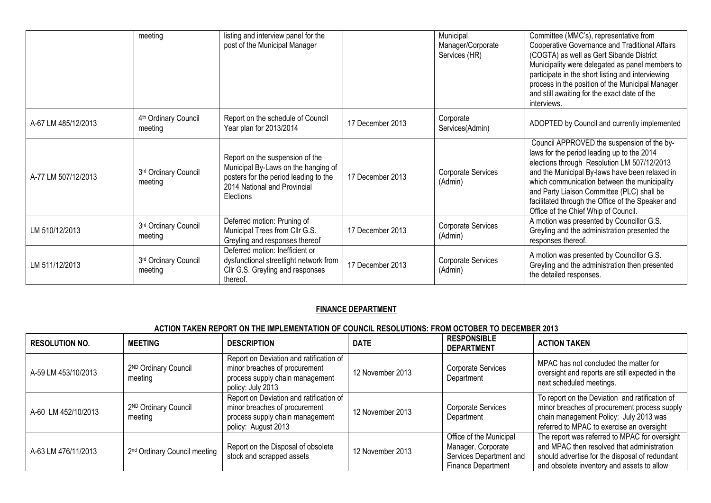|                     | meeting                                     | listing and interview panel for the<br>post of the Municipal Manager                                                                                         |                  | Municipal<br>Manager/Corporate<br>Services (HR) | Committee (MMC's), representative from<br>Cooperative Governance and Traditional Affairs<br>(COGTA) as well as Gert Sibande District<br>Municipality were delegated as panel members to<br>participate in the short listing and interviewing<br>process in the position of the Municipal Manager<br>and still awaiting for the exact date of the<br>interviews.                      |
|---------------------|---------------------------------------------|--------------------------------------------------------------------------------------------------------------------------------------------------------------|------------------|-------------------------------------------------|--------------------------------------------------------------------------------------------------------------------------------------------------------------------------------------------------------------------------------------------------------------------------------------------------------------------------------------------------------------------------------------|
| A-67 LM 485/12/2013 | 4 <sup>th</sup> Ordinary Council<br>meeting | Report on the schedule of Council<br>Year plan for 2013/2014                                                                                                 | 17 December 2013 | Corporate<br>Services(Admin)                    | ADOPTED by Council and currently implemented                                                                                                                                                                                                                                                                                                                                         |
| A-77 LM 507/12/2013 | 3rd Ordinary Council<br>meeting             | Report on the suspension of the<br>Municipal By-Laws on the hanging of<br>posters for the period leading to the<br>2014 National and Provincial<br>Elections | 17 December 2013 | Corporate Services<br>(Admin)                   | Council APPROVED the suspension of the by-<br>laws for the period leading up to the 2014<br>elections through Resolution LM 507/12/2013<br>and the Municipal By-laws have been relaxed in<br>which communication between the municipality<br>and Party Liaison Committee (PLC) shall be<br>facilitated through the Office of the Speaker and<br>Office of the Chief Whip of Council. |
| LM 510/12/2013      | 3rd Ordinary Council<br>meeting             | Deferred motion: Pruning of<br>Municipal Trees from Cllr G.S.<br>Greyling and responses thereof                                                              | 17 December 2013 | Corporate Services<br>(Admin)                   | A motion was presented by Councillor G.S.<br>Greyling and the administration presented the<br>responses thereof.                                                                                                                                                                                                                                                                     |
| LM 511/12/2013      | 3rd Ordinary Council<br>meeting             | Deferred motion: Inefficient or<br>dysfunctional streetlight network from<br>Cllr G.S. Greyling and responses<br>thereof.                                    | 17 December 2013 | Corporate Services<br>(Admin)                   | A motion was presented by Councillor G.S.<br>Greyling and the administration then presented<br>the detailed responses.                                                                                                                                                                                                                                                               |

#### **FINANCE DEPARTMENT**

| <b>RESOLUTION NO.</b> | <b>MEETING</b>                           | <b>DESCRIPTION</b>                                                                                                                 | <b>DATE</b>      | <b>RESPONSIBLE</b><br><b>DEPARTMENT</b>                                                               | <b>ACTION TAKEN</b>                                                                                                                                                                         |
|-----------------------|------------------------------------------|------------------------------------------------------------------------------------------------------------------------------------|------------------|-------------------------------------------------------------------------------------------------------|---------------------------------------------------------------------------------------------------------------------------------------------------------------------------------------------|
| A-59 LM 453/10/2013   | 2ND Ordinary Council<br>meeting          | Report on Deviation and ratification of<br>minor breaches of procurement<br>process supply chain management<br>policy: July 2013   | 12 November 2013 | <b>Corporate Services</b><br>Department                                                               | MPAC has not concluded the matter for<br>oversight and reports are still expected in the<br>next scheduled meetings.                                                                        |
| A-60 LM 452/10/2013   | 2ND Ordinary Council<br>meeting          | Report on Deviation and ratification of<br>minor breaches of procurement<br>process supply chain management<br>policy: August 2013 | 12 November 2013 | <b>Corporate Services</b><br>Department                                                               | To report on the Deviation and ratification of<br>minor breaches of procurement process supply<br>chain management Policy: July 2013 was<br>referred to MPAC to exercise an oversight       |
| A-63 LM 476/11/2013   | 2 <sup>nd</sup> Ordinary Council meeting | Report on the Disposal of obsolete<br>stock and scrapped assets                                                                    | 12 November 2013 | Office of the Municipal<br>Manager, Corporate<br>Services Department and<br><b>Finance Department</b> | The report was referred to MPAC for oversight<br>and MPAC then resolved that administration<br>should advertise for the disposal of redundant<br>and obsolete inventory and assets to allow |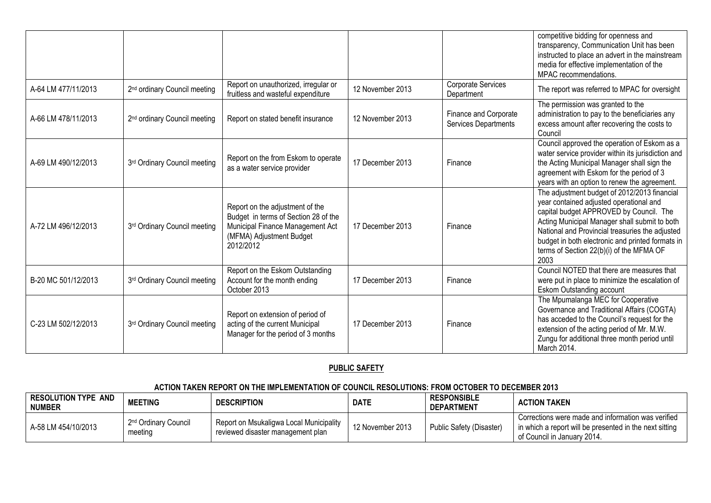|                     |                                          |                                                                                                                                                      |                  |                                                      | competitive bidding for openness and<br>transparency, Communication Unit has been<br>instructed to place an advert in the mainstream<br>media for effective implementation of the<br>MPAC recommendations.                                                                                                                                     |
|---------------------|------------------------------------------|------------------------------------------------------------------------------------------------------------------------------------------------------|------------------|------------------------------------------------------|------------------------------------------------------------------------------------------------------------------------------------------------------------------------------------------------------------------------------------------------------------------------------------------------------------------------------------------------|
| A-64 LM 477/11/2013 | 2 <sup>nd</sup> ordinary Council meeting | Report on unauthorized, irregular or<br>fruitless and wasteful expenditure                                                                           | 12 November 2013 | Corporate Services<br>Department                     | The report was referred to MPAC for oversight                                                                                                                                                                                                                                                                                                  |
| A-66 LM 478/11/2013 | 2 <sup>nd</sup> ordinary Council meeting | Report on stated benefit insurance                                                                                                                   | 12 November 2013 | Finance and Corporate<br><b>Services Departments</b> | The permission was granted to the<br>administration to pay to the beneficiaries any<br>excess amount after recovering the costs to<br>Council                                                                                                                                                                                                  |
| A-69 LM 490/12/2013 | 3rd Ordinary Council meeting             | Report on the from Eskom to operate<br>as a water service provider                                                                                   | 17 December 2013 | Finance                                              | Council approved the operation of Eskom as a<br>water service provider within its jurisdiction and<br>the Acting Municipal Manager shall sign the<br>agreement with Eskom for the period of 3<br>years with an option to renew the agreement.                                                                                                  |
| A-72 LM 496/12/2013 | 3rd Ordinary Council meeting             | Report on the adjustment of the<br>Budget in terms of Section 28 of the<br>Municipal Finance Management Act<br>(MFMA) Adjustment Budget<br>2012/2012 | 17 December 2013 | Finance                                              | The adjustment budget of 2012/2013 financial<br>year contained adjusted operational and<br>capital budget APPROVED by Council. The<br>Acting Municipal Manager shall submit to both<br>National and Provincial treasuries the adjusted<br>budget in both electronic and printed formats in<br>terms of Section 22(b)(i) of the MFMA OF<br>2003 |
| B-20 MC 501/12/2013 | 3rd Ordinary Council meeting             | Report on the Eskom Outstanding<br>Account for the month ending<br>October 2013                                                                      | 17 December 2013 | Finance                                              | Council NOTED that there are measures that<br>were put in place to minimize the escalation of<br>Eskom Outstanding account                                                                                                                                                                                                                     |
| C-23 LM 502/12/2013 | 3rd Ordinary Council meeting             | Report on extension of period of<br>acting of the current Municipal<br>Manager for the period of 3 months                                            | 17 December 2013 | Finance                                              | The Mpumalanga MEC for Cooperative<br>Governance and Traditional Affairs (COGTA)<br>has acceded to the Council's request for the<br>extension of the acting period of Mr. M.W.<br>Zungu for additional three month period until<br>March 2014.                                                                                                 |

## **PUBLIC SAFETY**

| <b>RESOLUTION TYPE AND</b><br><b>NUMBER</b> | <b>MEETING</b>                              | <b>DESCRIPTION</b>                                                           | <b>DATE</b>      | <b>RESPONSIBLE</b><br><b>DEPARTMENT</b> | <b>ACTION TAKEN</b>                                                                                                                            |
|---------------------------------------------|---------------------------------------------|------------------------------------------------------------------------------|------------------|-----------------------------------------|------------------------------------------------------------------------------------------------------------------------------------------------|
| A-58 LM 454/10/2013                         | 2 <sup>nd</sup> Ordinary Council<br>meeting | Report on Msukaligwa Local Municipality<br>reviewed disaster management plan | 12 November 2013 | Public Safety (Disaster)                | Corrections were made and information was verified<br>I in which a report will be presented in the next sitting<br>of Council in January 2014. |